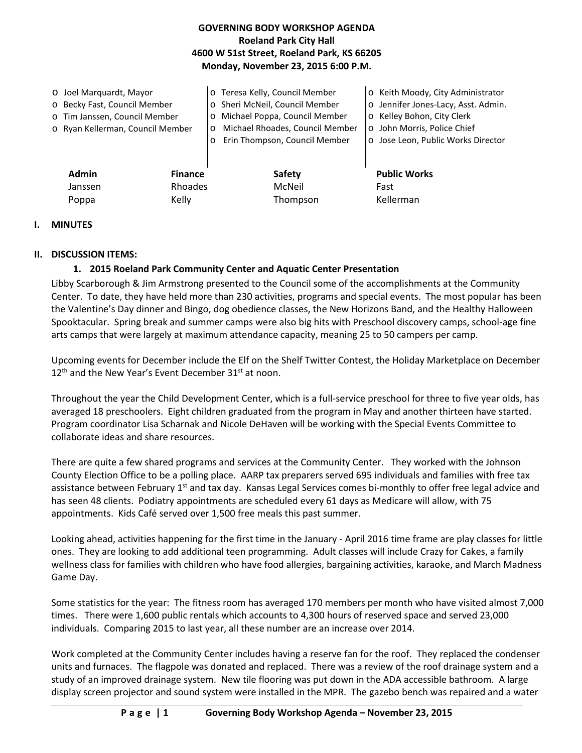### **GOVERNING BODY WORKSHOP AGENDA Roeland Park City Hall 4600 W 51st Street, Roeland Park, KS 66205 Monday, November 23, 2015 6:00 P.M.**

o Joel Marquardt, Mayor o Becky Fast, Council Member o Tim Janssen, Council Member o Ryan Kellerman, Council Member o Teresa Kelly, Council Member o Sheri McNeil, Council Member o Michael Poppa, Council Member o Michael Rhoades, Council Member o Erin Thompson, Council Member o Keith Moody, City Administrator o Jennifer Jones-Lacy, Asst. Admin. o Kelley Bohon, City Clerk o John Morris, Police Chief o Jose Leon, Public Works Director **Admin Finance Safety Public Works** Janssen Rhoades McNeil Fast

### **I. MINUTES**

#### **II. DISCUSSION ITEMS:**

#### **1. 2015 Roeland Park Community Center and Aquatic Center Presentation**

Poppa Kelly Kelly Thompson Kellerman

Libby Scarborough & Jim Armstrong presented to the Council some of the accomplishments at the Community Center. To date, they have held more than 230 activities, programs and special events. The most popular has been the Valentine's Day dinner and Bingo, dog obedience classes, the New Horizons Band, and the Healthy Halloween Spooktacular. Spring break and summer camps were also big hits with Preschool discovery camps, school-age fine arts camps that were largely at maximum attendance capacity, meaning 25 to 50 campers per camp.

Upcoming events for December include the Elf on the Shelf Twitter Contest, the Holiday Marketplace on December  $12<sup>th</sup>$  and the New Year's Event December 31 $<sup>st</sup>$  at noon.</sup>

Throughout the year the Child Development Center, which is a full-service preschool for three to five year olds, has averaged 18 preschoolers. Eight children graduated from the program in May and another thirteen have started. Program coordinator Lisa Scharnak and Nicole DeHaven will be working with the Special Events Committee to collaborate ideas and share resources.

There are quite a few shared programs and services at the Community Center. They worked with the Johnson County Election Office to be a polling place. AARP tax preparers served 695 individuals and families with free tax assistance between February 1<sup>st</sup> and tax day. Kansas Legal Services comes bi-monthly to offer free legal advice and has seen 48 clients. Podiatry appointments are scheduled every 61 days as Medicare will allow, with 75 appointments. Kids Café served over 1,500 free meals this past summer.

Looking ahead, activities happening for the first time in the January - April 2016 time frame are play classes for little ones. They are looking to add additional teen programming. Adult classes will include Crazy for Cakes, a family wellness class for families with children who have food allergies, bargaining activities, karaoke, and March Madness Game Day.

Some statistics for the year: The fitness room has averaged 170 members per month who have visited almost 7,000 times. There were 1,600 public rentals which accounts to 4,300 hours of reserved space and served 23,000 individuals. Comparing 2015 to last year, all these number are an increase over 2014.

Work completed at the Community Center includes having a reserve fan for the roof. They replaced the condenser units and furnaces. The flagpole was donated and replaced. There was a review of the roof drainage system and a study of an improved drainage system. New tile flooring was put down in the ADA accessible bathroom. A large display screen projector and sound system were installed in the MPR. The gazebo bench was repaired and a water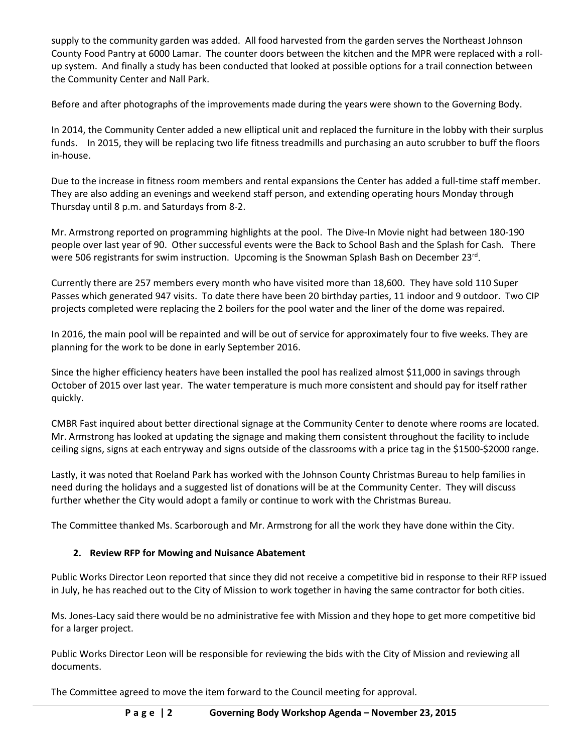supply to the community garden was added. All food harvested from the garden serves the Northeast Johnson County Food Pantry at 6000 Lamar. The counter doors between the kitchen and the MPR were replaced with a rollup system. And finally a study has been conducted that looked at possible options for a trail connection between the Community Center and Nall Park.

Before and after photographs of the improvements made during the years were shown to the Governing Body.

In 2014, the Community Center added a new elliptical unit and replaced the furniture in the lobby with their surplus funds. In 2015, they will be replacing two life fitness treadmills and purchasing an auto scrubber to buff the floors in-house.

Due to the increase in fitness room members and rental expansions the Center has added a full-time staff member. They are also adding an evenings and weekend staff person, and extending operating hours Monday through Thursday until 8 p.m. and Saturdays from 8-2.

Mr. Armstrong reported on programming highlights at the pool. The Dive-In Movie night had between 180-190 people over last year of 90. Other successful events were the Back to School Bash and the Splash for Cash. There were 506 registrants for swim instruction. Upcoming is the Snowman Splash Bash on December 23rd.

Currently there are 257 members every month who have visited more than 18,600. They have sold 110 Super Passes which generated 947 visits. To date there have been 20 birthday parties, 11 indoor and 9 outdoor. Two CIP projects completed were replacing the 2 boilers for the pool water and the liner of the dome was repaired.

In 2016, the main pool will be repainted and will be out of service for approximately four to five weeks. They are planning for the work to be done in early September 2016.

Since the higher efficiency heaters have been installed the pool has realized almost \$11,000 in savings through October of 2015 over last year. The water temperature is much more consistent and should pay for itself rather quickly.

CMBR Fast inquired about better directional signage at the Community Center to denote where rooms are located. Mr. Armstrong has looked at updating the signage and making them consistent throughout the facility to include ceiling signs, signs at each entryway and signs outside of the classrooms with a price tag in the \$1500-\$2000 range.

Lastly, it was noted that Roeland Park has worked with the Johnson County Christmas Bureau to help families in need during the holidays and a suggested list of donations will be at the Community Center. They will discuss further whether the City would adopt a family or continue to work with the Christmas Bureau.

The Committee thanked Ms. Scarborough and Mr. Armstrong for all the work they have done within the City.

### **2. Review RFP for Mowing and Nuisance Abatement**

Public Works Director Leon reported that since they did not receive a competitive bid in response to their RFP issued in July, he has reached out to the City of Mission to work together in having the same contractor for both cities.

Ms. Jones-Lacy said there would be no administrative fee with Mission and they hope to get more competitive bid for a larger project.

Public Works Director Leon will be responsible for reviewing the bids with the City of Mission and reviewing all documents.

The Committee agreed to move the item forward to the Council meeting for approval.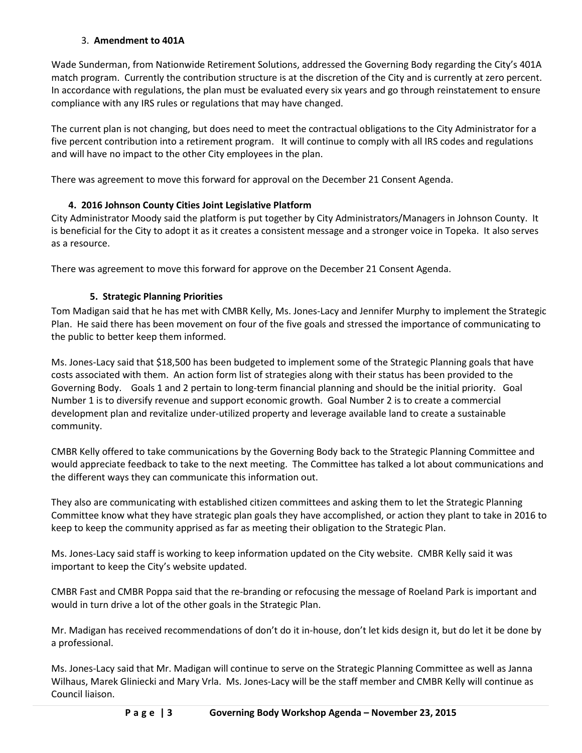### 3. **Amendment to 401A**

Wade Sunderman, from Nationwide Retirement Solutions, addressed the Governing Body regarding the City's 401A match program. Currently the contribution structure is at the discretion of the City and is currently at zero percent. In accordance with regulations, the plan must be evaluated every six years and go through reinstatement to ensure compliance with any IRS rules or regulations that may have changed.

The current plan is not changing, but does need to meet the contractual obligations to the City Administrator for a five percent contribution into a retirement program. It will continue to comply with all IRS codes and regulations and will have no impact to the other City employees in the plan.

There was agreement to move this forward for approval on the December 21 Consent Agenda.

# **4. 2016 Johnson County Cities Joint Legislative Platform**

City Administrator Moody said the platform is put together by City Administrators/Managers in Johnson County. It is beneficial for the City to adopt it as it creates a consistent message and a stronger voice in Topeka. It also serves as a resource.

There was agreement to move this forward for approve on the December 21 Consent Agenda.

# **5. Strategic Planning Priorities**

Tom Madigan said that he has met with CMBR Kelly, Ms. Jones-Lacy and Jennifer Murphy to implement the Strategic Plan. He said there has been movement on four of the five goals and stressed the importance of communicating to the public to better keep them informed.

Ms. Jones-Lacy said that \$18,500 has been budgeted to implement some of the Strategic Planning goals that have costs associated with them. An action form list of strategies along with their status has been provided to the Governing Body. Goals 1 and 2 pertain to long-term financial planning and should be the initial priority. Goal Number 1 is to diversify revenue and support economic growth. Goal Number 2 is to create a commercial development plan and revitalize under-utilized property and leverage available land to create a sustainable community.

CMBR Kelly offered to take communications by the Governing Body back to the Strategic Planning Committee and would appreciate feedback to take to the next meeting. The Committee has talked a lot about communications and the different ways they can communicate this information out.

They also are communicating with established citizen committees and asking them to let the Strategic Planning Committee know what they have strategic plan goals they have accomplished, or action they plant to take in 2016 to keep to keep the community apprised as far as meeting their obligation to the Strategic Plan.

Ms. Jones-Lacy said staff is working to keep information updated on the City website. CMBR Kelly said it was important to keep the City's website updated.

CMBR Fast and CMBR Poppa said that the re-branding or refocusing the message of Roeland Park is important and would in turn drive a lot of the other goals in the Strategic Plan.

Mr. Madigan has received recommendations of don't do it in-house, don't let kids design it, but do let it be done by a professional.

Ms. Jones-Lacy said that Mr. Madigan will continue to serve on the Strategic Planning Committee as well as Janna Wilhaus, Marek Gliniecki and Mary Vrla. Ms. Jones-Lacy will be the staff member and CMBR Kelly will continue as Council liaison.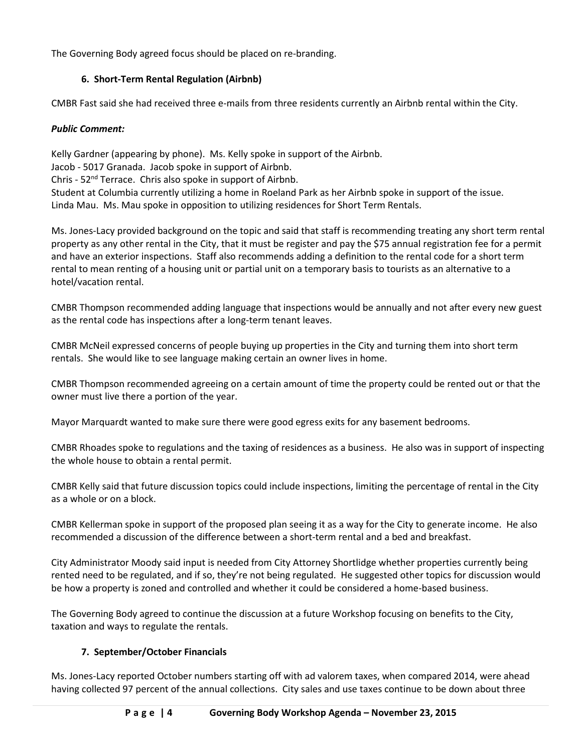The Governing Body agreed focus should be placed on re-branding.

### **6. Short-Term Rental Regulation (Airbnb)**

CMBR Fast said she had received three e-mails from three residents currently an Airbnb rental within the City.

### *Public Comment:*

Kelly Gardner (appearing by phone). Ms. Kelly spoke in support of the Airbnb. Jacob - 5017 Granada. Jacob spoke in support of Airbnb. Chris - 52nd Terrace. Chris also spoke in support of Airbnb. Student at Columbia currently utilizing a home in Roeland Park as her Airbnb spoke in support of the issue. Linda Mau. Ms. Mau spoke in opposition to utilizing residences for Short Term Rentals.

Ms. Jones-Lacy provided background on the topic and said that staff is recommending treating any short term rental property as any other rental in the City, that it must be register and pay the \$75 annual registration fee for a permit and have an exterior inspections. Staff also recommends adding a definition to the rental code for a short term rental to mean renting of a housing unit or partial unit on a temporary basis to tourists as an alternative to a hotel/vacation rental.

CMBR Thompson recommended adding language that inspections would be annually and not after every new guest as the rental code has inspections after a long-term tenant leaves.

CMBR McNeil expressed concerns of people buying up properties in the City and turning them into short term rentals. She would like to see language making certain an owner lives in home.

CMBR Thompson recommended agreeing on a certain amount of time the property could be rented out or that the owner must live there a portion of the year.

Mayor Marquardt wanted to make sure there were good egress exits for any basement bedrooms.

CMBR Rhoades spoke to regulations and the taxing of residences as a business. He also was in support of inspecting the whole house to obtain a rental permit.

CMBR Kelly said that future discussion topics could include inspections, limiting the percentage of rental in the City as a whole or on a block.

CMBR Kellerman spoke in support of the proposed plan seeing it as a way for the City to generate income. He also recommended a discussion of the difference between a short-term rental and a bed and breakfast.

City Administrator Moody said input is needed from City Attorney Shortlidge whether properties currently being rented need to be regulated, and if so, they're not being regulated. He suggested other topics for discussion would be how a property is zoned and controlled and whether it could be considered a home-based business.

The Governing Body agreed to continue the discussion at a future Workshop focusing on benefits to the City, taxation and ways to regulate the rentals.

### **7. September/October Financials**

Ms. Jones-Lacy reported October numbers starting off with ad valorem taxes, when compared 2014, were ahead having collected 97 percent of the annual collections. City sales and use taxes continue to be down about three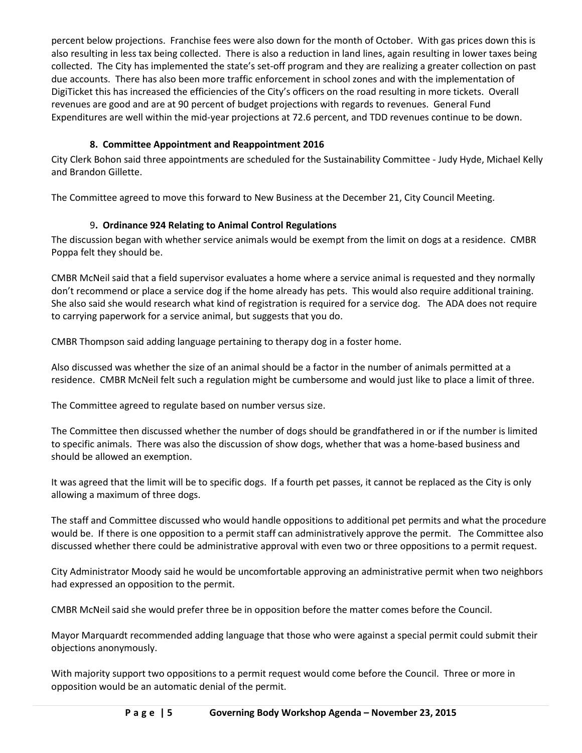percent below projections. Franchise fees were also down for the month of October. With gas prices down this is also resulting in less tax being collected. There is also a reduction in land lines, again resulting in lower taxes being collected. The City has implemented the state's set-off program and they are realizing a greater collection on past due accounts. There has also been more traffic enforcement in school zones and with the implementation of DigiTicket this has increased the efficiencies of the City's officers on the road resulting in more tickets. Overall revenues are good and are at 90 percent of budget projections with regards to revenues. General Fund Expenditures are well within the mid-year projections at 72.6 percent, and TDD revenues continue to be down.

# **8. Committee Appointment and Reappointment 2016**

City Clerk Bohon said three appointments are scheduled for the Sustainability Committee - Judy Hyde, Michael Kelly and Brandon Gillette.

The Committee agreed to move this forward to New Business at the December 21, City Council Meeting.

# 9**. Ordinance 924 Relating to Animal Control Regulations**

The discussion began with whether service animals would be exempt from the limit on dogs at a residence. CMBR Poppa felt they should be.

CMBR McNeil said that a field supervisor evaluates a home where a service animal is requested and they normally don't recommend or place a service dog if the home already has pets. This would also require additional training. She also said she would research what kind of registration is required for a service dog. The ADA does not require to carrying paperwork for a service animal, but suggests that you do.

CMBR Thompson said adding language pertaining to therapy dog in a foster home.

Also discussed was whether the size of an animal should be a factor in the number of animals permitted at a residence. CMBR McNeil felt such a regulation might be cumbersome and would just like to place a limit of three.

The Committee agreed to regulate based on number versus size.

The Committee then discussed whether the number of dogs should be grandfathered in or if the number is limited to specific animals. There was also the discussion of show dogs, whether that was a home-based business and should be allowed an exemption.

It was agreed that the limit will be to specific dogs. If a fourth pet passes, it cannot be replaced as the City is only allowing a maximum of three dogs.

The staff and Committee discussed who would handle oppositions to additional pet permits and what the procedure would be. If there is one opposition to a permit staff can administratively approve the permit. The Committee also discussed whether there could be administrative approval with even two or three oppositions to a permit request.

City Administrator Moody said he would be uncomfortable approving an administrative permit when two neighbors had expressed an opposition to the permit.

CMBR McNeil said she would prefer three be in opposition before the matter comes before the Council.

Mayor Marquardt recommended adding language that those who were against a special permit could submit their objections anonymously.

With majority support two oppositions to a permit request would come before the Council. Three or more in opposition would be an automatic denial of the permit.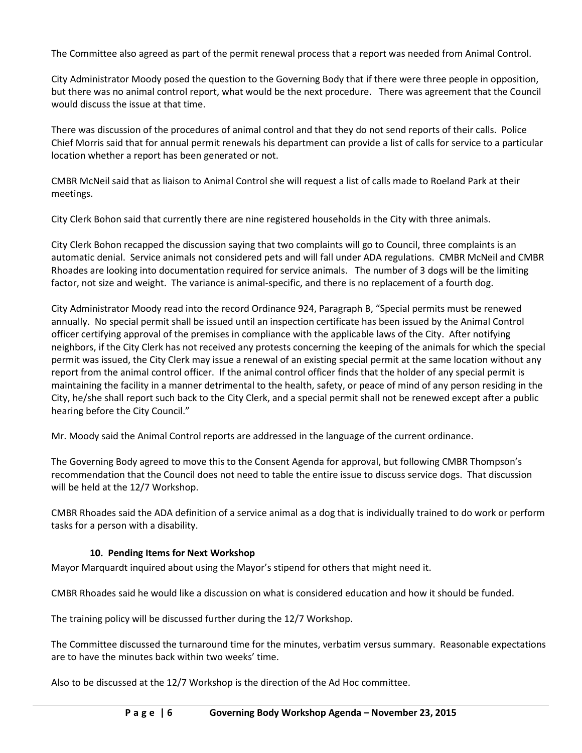The Committee also agreed as part of the permit renewal process that a report was needed from Animal Control.

City Administrator Moody posed the question to the Governing Body that if there were three people in opposition, but there was no animal control report, what would be the next procedure. There was agreement that the Council would discuss the issue at that time.

There was discussion of the procedures of animal control and that they do not send reports of their calls. Police Chief Morris said that for annual permit renewals his department can provide a list of calls for service to a particular location whether a report has been generated or not.

CMBR McNeil said that as liaison to Animal Control she will request a list of calls made to Roeland Park at their meetings.

City Clerk Bohon said that currently there are nine registered households in the City with three animals.

City Clerk Bohon recapped the discussion saying that two complaints will go to Council, three complaints is an automatic denial. Service animals not considered pets and will fall under ADA regulations. CMBR McNeil and CMBR Rhoades are looking into documentation required for service animals. The number of 3 dogs will be the limiting factor, not size and weight. The variance is animal-specific, and there is no replacement of a fourth dog.

City Administrator Moody read into the record Ordinance 924, Paragraph B, "Special permits must be renewed annually. No special permit shall be issued until an inspection certificate has been issued by the Animal Control officer certifying approval of the premises in compliance with the applicable laws of the City. After notifying neighbors, if the City Clerk has not received any protests concerning the keeping of the animals for which the special permit was issued, the City Clerk may issue a renewal of an existing special permit at the same location without any report from the animal control officer. If the animal control officer finds that the holder of any special permit is maintaining the facility in a manner detrimental to the health, safety, or peace of mind of any person residing in the City, he/she shall report such back to the City Clerk, and a special permit shall not be renewed except after a public hearing before the City Council."

Mr. Moody said the Animal Control reports are addressed in the language of the current ordinance.

The Governing Body agreed to move this to the Consent Agenda for approval, but following CMBR Thompson's recommendation that the Council does not need to table the entire issue to discuss service dogs. That discussion will be held at the 12/7 Workshop.

CMBR Rhoades said the ADA definition of a service animal as a dog that is individually trained to do work or perform tasks for a person with a disability.

### **10. Pending Items for Next Workshop**

Mayor Marquardt inquired about using the Mayor's stipend for others that might need it.

CMBR Rhoades said he would like a discussion on what is considered education and how it should be funded.

The training policy will be discussed further during the 12/7 Workshop.

The Committee discussed the turnaround time for the minutes, verbatim versus summary. Reasonable expectations are to have the minutes back within two weeks' time.

Also to be discussed at the 12/7 Workshop is the direction of the Ad Hoc committee.